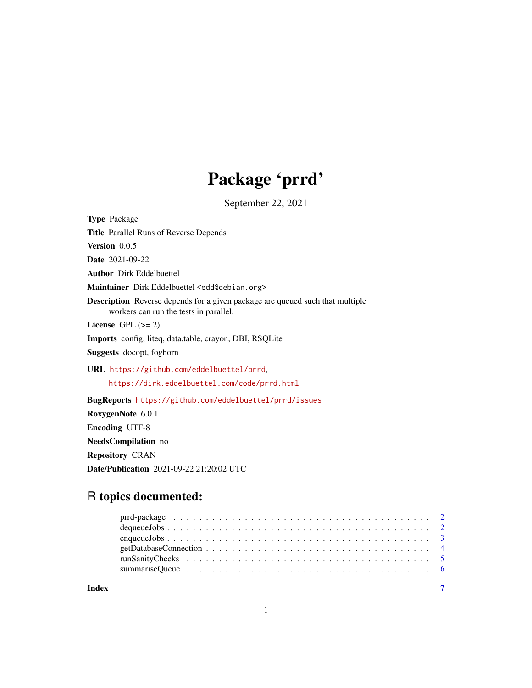## Package 'prrd'

September 22, 2021

<span id="page-0-0"></span>Type Package Title Parallel Runs of Reverse Depends Version 0.0.5 Date 2021-09-22 Author Dirk Eddelbuettel Maintainer Dirk Eddelbuettel <edd@debian.org> Description Reverse depends for a given package are queued such that multiple workers can run the tests in parallel. License GPL  $(>= 2)$ Imports config, liteq, data.table, crayon, DBI, RSQLite Suggests docopt, foghorn URL <https://github.com/eddelbuettel/prrd>, <https://dirk.eddelbuettel.com/code/prrd.html> BugReports <https://github.com/eddelbuettel/prrd/issues> RoxygenNote 6.0.1 Encoding UTF-8 NeedsCompilation no

Repository CRAN

Date/Publication 2021-09-22 21:20:02 UTC

### R topics documented:

| Index |  |
|-------|--|

1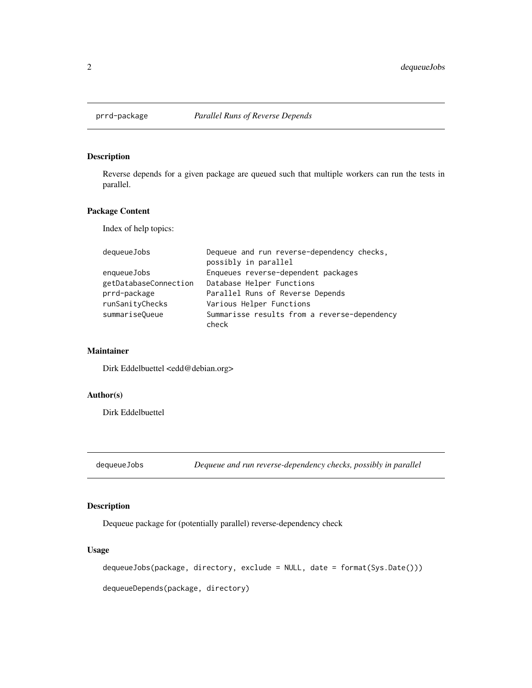<span id="page-1-0"></span>

#### Description

Reverse depends for a given package are queued such that multiple workers can run the tests in parallel.

#### Package Content

Index of help topics:

| dequeueJobs           | Dequeue and run reverse-dependency checks,   |
|-----------------------|----------------------------------------------|
|                       | possibly in parallel                         |
| enqueueJobs           | Enqueues reverse-dependent packages          |
| getDatabaseConnection | Database Helper Functions                    |
| prrd-package          | Parallel Runs of Reverse Depends             |
| runSanityChecks       | Various Helper Functions                     |
| summariseQueue        | Summarisse results from a reverse-dependency |
|                       | check                                        |

#### Maintainer

Dirk Eddelbuettel <edd@debian.org>

#### Author(s)

Dirk Eddelbuettel

dequeueJobs *Dequeue and run reverse-dependency checks, possibly in parallel*

#### Description

Dequeue package for (potentially parallel) reverse-dependency check

#### Usage

dequeueJobs(package, directory, exclude = NULL, date = format(Sys.Date()))

dequeueDepends(package, directory)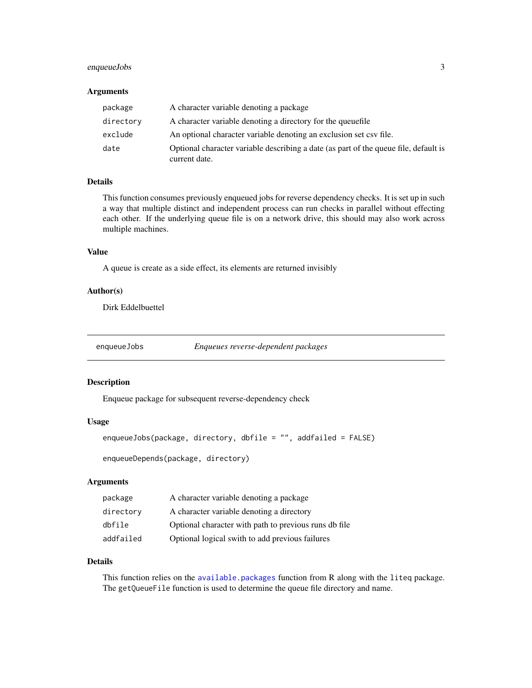#### <span id="page-2-0"></span>enqueueJobs 3

#### **Arguments**

| package   | A character variable denoting a package                                                               |
|-----------|-------------------------------------------------------------------------------------------------------|
| directory | A character variable denoting a directory for the queuefile                                           |
| exclude   | An optional character variable denoting an exclusion set csy file.                                    |
| date      | Optional character variable describing a date (as part of the queue file, default is<br>current date. |

#### Details

This function consumes previously enqueued jobs for reverse dependency checks. It is set up in such a way that multiple distinct and independent process can run checks in parallel without effecting each other. If the underlying queue file is on a network drive, this should may also work across multiple machines.

#### Value

A queue is create as a side effect, its elements are returned invisibly

#### Author(s)

Dirk Eddelbuettel

enqueueJobs *Enqueues reverse-dependent packages*

#### Description

Enqueue package for subsequent reverse-dependency check

#### Usage

```
enqueueJobs(package, directory, dbfile = "", addfailed = FALSE)
```
enqueueDepends(package, directory)

#### Arguments

| package   | A character variable denoting a package               |
|-----------|-------------------------------------------------------|
| directory | A character variable denoting a directory             |
| dbfile    | Optional character with path to previous runs db file |
| addfailed | Optional logical swith to add previous failures       |

#### Details

This function relies on the [available.packages](#page-0-0) function from R along with the liteq package. The getQueueFile function is used to determine the queue file directory and name.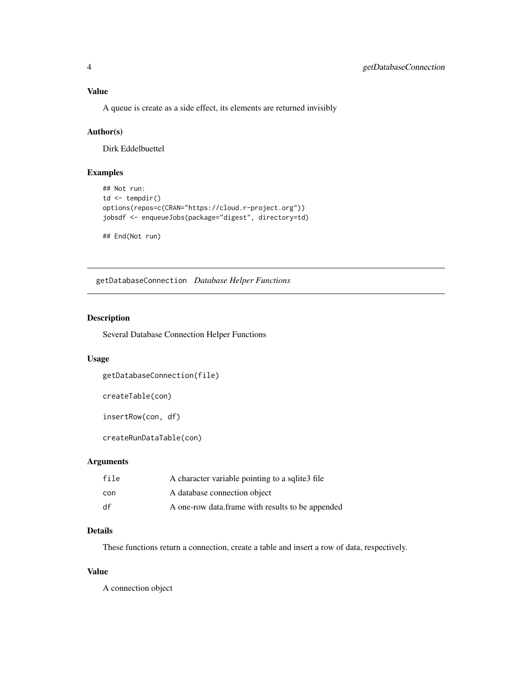<span id="page-3-0"></span>A queue is create as a side effect, its elements are returned invisibly

#### Author(s)

Dirk Eddelbuettel

#### Examples

```
## Not run:
td \leftarrow tempdir()options(repos=c(CRAN="https://cloud.r-project.org"))
jobsdf <- enqueueJobs(package="digest", directory=td)
```
## End(Not run)

getDatabaseConnection *Database Helper Functions*

#### Description

Several Database Connection Helper Functions

#### Usage

```
getDatabaseConnection(file)
```
createTable(con)

```
insertRow(con, df)
```
createRunDataTable(con)

#### Arguments

| file | A character variable pointing to a sqlite 3 file |
|------|--------------------------------------------------|
| con  | A database connection object                     |
| df   | A one-row data.frame with results to be appended |

#### Details

These functions return a connection, create a table and insert a row of data, respectively.

#### Value

A connection object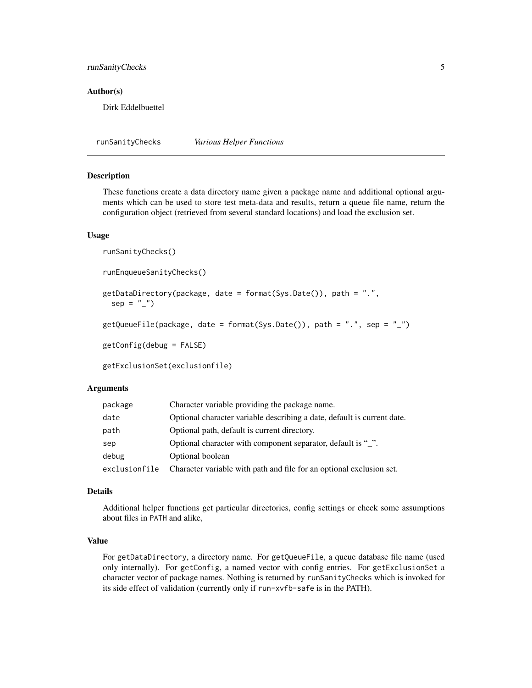#### <span id="page-4-0"></span>runSanityChecks 5

#### Author(s)

Dirk Eddelbuettel

runSanityChecks *Various Helper Functions*

#### Description

These functions create a data directory name given a package name and additional optional arguments which can be used to store test meta-data and results, return a queue file name, return the configuration object (retrieved from several standard locations) and load the exclusion set.

#### Usage

```
runSanityChecks()
```

```
runEnqueueSanityChecks()
```

```
getDataDirectory(package, date = format(Sys.Date()), path = ".",
```

```
sep = "''
```

```
getQueueFile(package, date = format(Sys.Date()), path = ".", sep = "_")
```
getConfig(debug = FALSE)

getExclusionSet(exclusionfile)

#### Arguments

| package       | Character variable providing the package name.                          |
|---------------|-------------------------------------------------------------------------|
| date          | Optional character variable describing a date, default is current date. |
| path          | Optional path, default is current directory.                            |
| sep           | Optional character with component separator, default is "".             |
| debug         | Optional boolean                                                        |
| exclusionfile | Character variable with path and file for an optional exclusion set.    |

#### Details

Additional helper functions get particular directories, config settings or check some assumptions about files in PATH and alike,

#### Value

For getDataDirectory, a directory name. For getQueueFile, a queue database file name (used only internally). For getConfig, a named vector with config entries. For getExclusionSet a character vector of package names. Nothing is returned by runSanityChecks which is invoked for its side effect of validation (currently only if run-xvfb-safe is in the PATH).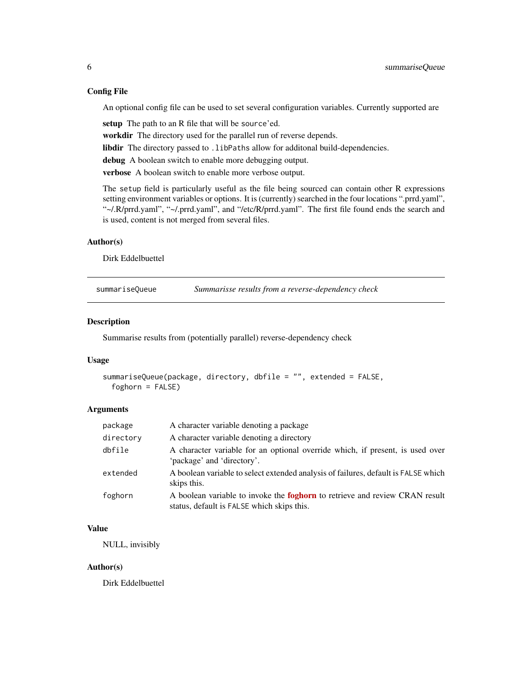#### <span id="page-5-0"></span>Config File

An optional config file can be used to set several configuration variables. Currently supported are

setup The path to an R file that will be source'ed.

workdir The directory used for the parallel run of reverse depends.

libdir The directory passed to . libPaths allow for additonal build-dependencies.

debug A boolean switch to enable more debugging output.

verbose A boolean switch to enable more verbose output.

The setup field is particularly useful as the file being sourced can contain other R expressions setting environment variables or options. It is (currently) searched in the four locations ".prrd.yaml", "~/.R/prrd.yaml", "~/.prrd.yaml", and "/etc/R/prrd.yaml". The first file found ends the search and is used, content is not merged from several files.

#### Author(s)

Dirk Eddelbuettel

summariseQueue *Summarisse results from a reverse-dependency check*

#### Description

Summarise results from (potentially parallel) reverse-dependency check

#### Usage

```
summariseQueue(package, directory, dbfile = "", extended = FALSE,
  foghorn = FALSE)
```
#### Arguments

| package   | A character variable denoting a package                                                                                          |
|-----------|----------------------------------------------------------------------------------------------------------------------------------|
| directory | A character variable denoting a directory                                                                                        |
| dbfile    | A character variable for an optional override which, if present, is used over<br>'package' and 'directory'.                      |
| extended  | A boolean variable to select extended analysis of failures, default is FALSE which<br>skips this.                                |
| foghorn   | A boolean variable to invoke the <b>foghorn</b> to retrieve and review CRAN result<br>status, default is FALSE which skips this. |

#### Value

NULL, invisibly

#### Author(s)

Dirk Eddelbuettel